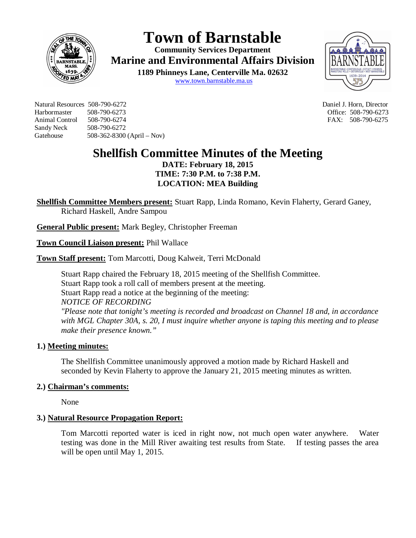

# **Town of Barnstable**

**Community Services Department Marine and Environmental Affairs Division** 

> **1189 Phinneys Lane, Centerville Ma. 02632** www.town.barnstable.ma.us



Natural Resources 508-790-6272 Daniel J. Horn, Director Harbormaster 508-790-6273 Office: 508-790-6273 Animal Control 508-790-6274 **FAX: 508-790-6275** Sandy Neck 508-790-6272 Gatehouse 508-362-8300 (April – Nov)

## **Shellfish Committee Minutes of the Meeting**

**DATE: February 18, 2015 TIME: 7:30 P.M. to 7:38 P.M. LOCATION: MEA Building**

**Shellfish Committee Members present:** Stuart Rapp, Linda Romano, Kevin Flaherty, Gerard Ganey, Richard Haskell, Andre Sampou

**General Public present:** Mark Begley, Christopher Freeman

**Town Council Liaison present:** Phil Wallace

**Town Staff present:** Tom Marcotti, Doug Kalweit, Terri McDonald

Stuart Rapp chaired the February 18, 2015 meeting of the Shellfish Committee. Stuart Rapp took a roll call of members present at the meeting. Stuart Rapp read a notice at the beginning of the meeting: *NOTICE OF RECORDING*

*"Please note that tonight's meeting is recorded and broadcast on Channel 18 and, in accordance with MGL Chapter 30A, s. 20, I must inquire whether anyone is taping this meeting and to please make their presence known."*

## **1.) Meeting minutes:**

The Shellfish Committee unanimously approved a motion made by Richard Haskell and seconded by Kevin Flaherty to approve the January 21, 2015 meeting minutes as written.

## **2.) Chairman's comments:**

None

## **3.) Natural Resource Propagation Report:**

Tom Marcotti reported water is iced in right now, not much open water anywhere. Water testing was done in the Mill River awaiting test results from State. If testing passes the area will be open until May 1, 2015.